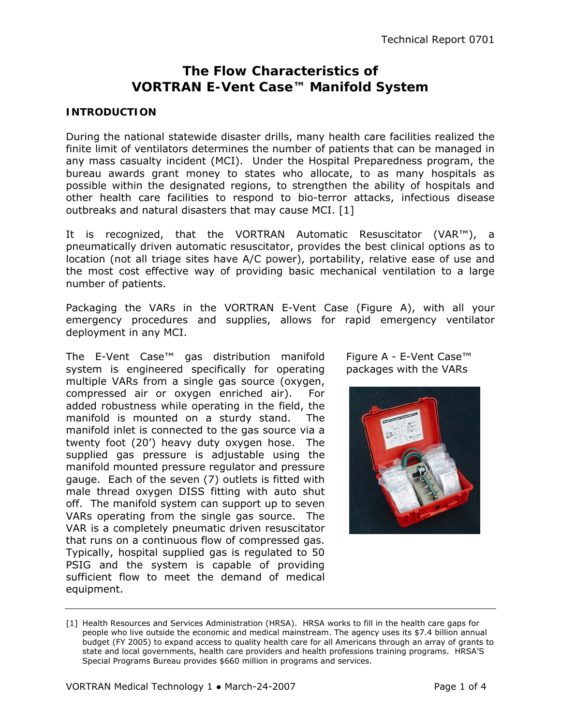# **The Flow Characteristics of VORTRAN E-Vent Case™ Manifold System**

# **INTRODUCTION**

During the national statewide disaster drills, many health care facilities realized the finite limit of ventilators determines the number of patients that can be managed in any mass casualty incident (MCI). Under the Hospital Preparedness program, the bureau awards grant money to states who allocate, to as many hospitals as possible within the designated regions, to strengthen the ability of hospitals and other health care facilities to respond to bio-terror attacks, infectious disease outbreaks and natural disasters that may cause MCI. [1]

It is recognized, that the VORTRAN Automatic Resuscitator (VAR™), a pneumatically driven automatic resuscitator, provides the best clinical options as to location (not all triage sites have A/C power), portability, relative ease of use and the most cost effective way of providing basic mechanical ventilation to a large number of patients.

Packaging the VARs in the VORTRAN E-Vent Case (Figure A), with all your emergency procedures and supplies, allows for rapid emergency ventilator deployment in any MCI.

The E-Vent Case™ gas distribution manifold system is engineered specifically for operating multiple VARs from a single gas source (oxygen, compressed air or oxygen enriched air). For added robustness while operating in the field, the manifold is mounted on a sturdy stand. The manifold inlet is connected to the gas source via a twenty foot (20') heavy duty oxygen hose. The supplied gas pressure is adjustable using the manifold mounted pressure regulator and pressure gauge. Each of the seven (7) outlets is fitted with male thread oxygen DISS fitting with auto shut off. The manifold system can support up to seven VARs operating from the single gas source. The VAR is a completely pneumatic driven resuscitator that runs on a continuous flow of compressed gas. Typically, hospital supplied gas is regulated to 50 PSIG and the system is capable of providing sufficient flow to meet the demand of medical equipment.

Figure A - E-Vent Case™ packages with the VARs



<sup>[1]</sup> Health Resources and Services Administration (HRSA). HRSA works to fill in the health care gaps for people who live outside the economic and medical mainstream. The agency uses its \$7.4 billion annual budget (FY 2005) to expand access to quality health care for all Americans through an array of grants to state and local governments, health care providers and health professions training programs. HRSA'S Special Programs Bureau provides \$660 million in programs and services.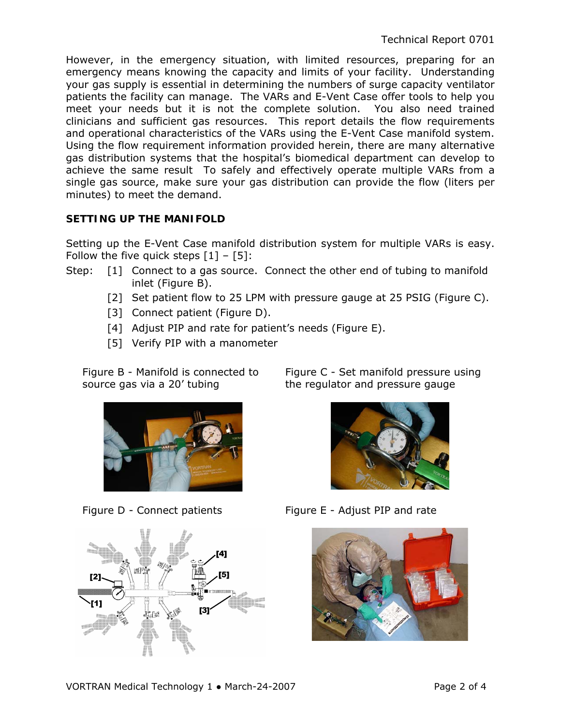However, in the emergency situation, with limited resources, preparing for an emergency means knowing the capacity and limits of your facility. Understanding your gas supply is essential in determining the numbers of surge capacity ventilator patients the facility can manage. The VARs and E-Vent Case offer tools to help you meet your needs but it is not the complete solution. You also need trained clinicians and sufficient gas resources. This report details the flow requirements and operational characteristics of the VARs using the E-Vent Case manifold system. Using the flow requirement information provided herein, there are many alternative gas distribution systems that the hospital's biomedical department can develop to achieve the same result To safely and effectively operate multiple VARs from a single gas source, make sure your gas distribution can provide the flow (liters per minutes) to meet the demand.

# **SETTING UP THE MANIFOLD**

Setting up the E-Vent Case manifold distribution system for multiple VARs is easy. Follow the five quick steps  $[1]$  -  $[5]$ :

- Step: [1] Connect to a gas source. Connect the other end of tubing to manifold inlet (Figure B).
	- [2] Set patient flow to 25 LPM with pressure gauge at 25 PSIG (Figure C).
	- [3] Connect patient (Figure D).
	- [4] Adjust PIP and rate for patient's needs (Figure E).
	- [5] Verify PIP with a manometer

Figure B - Manifold is connected to source gas via a 20' tubing





Figure C - Set manifold pressure using the regulator and pressure gauge



Figure D - Connect patients Figure E - Adjust PIP and rate

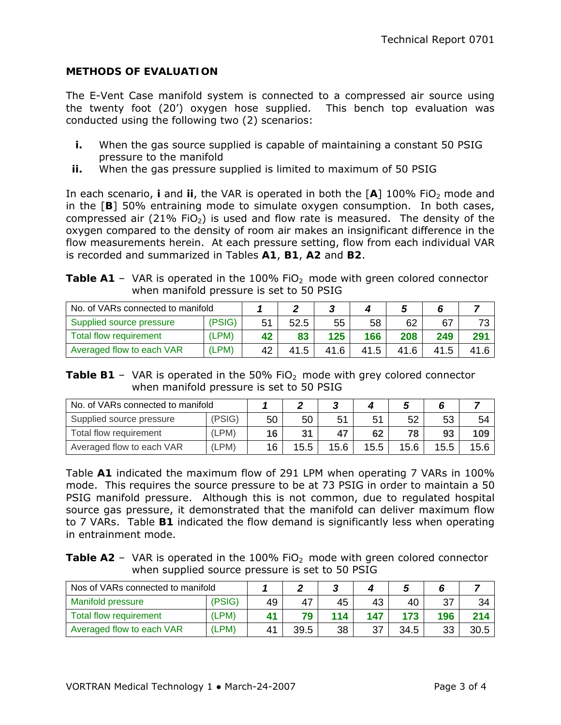# **METHODS OF EVALUATION**

The E-Vent Case manifold system is connected to a compressed air source using the twenty foot (20') oxygen hose supplied. This bench top evaluation was conducted using the following two (2) scenarios:

- *i.* When the gas source supplied is capable of maintaining a constant 50 PSIG pressure to the manifold
- *ii.* When the gas pressure supplied is limited to maximum of 50 PSIG

In each scenario, *i* and *ii*, the VAR is operated in both the [A] 100% FiO<sub>2</sub> mode and in the [*B*] 50% entraining mode to simulate oxygen consumption. In both cases, compressed air (21% FiO<sub>2</sub>) is used and flow rate is measured. The density of the oxygen compared to the density of room air makes an insignificant difference in the flow measurements herein. At each pressure setting, flow from each individual VAR is recorded and summarized in Tables *A1*, *B1*, *A2* and *B2*.

**Table**  $A1 - \text{VAR}$  is operated in the 100% FiO<sub>2</sub> mode with green colored connector when manifold pressure is set to 50 PSIG

| No. of VARs connected to manifold |        |    |      |      |      |      |      |     |
|-----------------------------------|--------|----|------|------|------|------|------|-----|
| Supplied source pressure          | (PSIG) | 51 | 52.5 | 55   | 58   | 62   | 67   |     |
| Total flow requirement            | (LPM)  |    | 83   | 125  | 166  | 208  | 249  | 291 |
| Averaged flow to each VAR         | (LPM)  | 42 | 41.5 | 41.6 | 41.5 | 41.6 | 41.5 |     |

### **Table**  $B$ **1** – VAR is operated in the 50% FiO<sub>2</sub> mode with grey colored connector when manifold pressure is set to 50 PSIG

| No. of VARs connected to manifold |        |    |      |      |      |      |      |      |
|-----------------------------------|--------|----|------|------|------|------|------|------|
| Supplied source pressure          | (PSIG) | 50 | 50   | 51   | 51   | 52   | 53   | 54   |
| Total flow requirement            | (LPM)  | 16 | 31   |      | 62   | 78   | 93   | 109  |
| Averaged flow to each VAR         | (LPM)  | 16 | 15.5 | 15.6 | 15.5 | 15.6 | 15.5 | 15.6 |

Table *A***1** indicated the maximum flow of 291 LPM when operating 7 VARs in 100% mode. This requires the source pressure to be at 73 PSIG in order to maintain a 50 PSIG manifold pressure. Although this is not common, due to regulated hospital source gas pressure, it demonstrated that the manifold can deliver maximum flow to 7 VARs. Table *B***1** indicated the flow demand is significantly less when operating in entrainment mode.

**Table**  $\overline{A2}$  – VAR is operated in the 100% FiO<sub>2</sub> mode with green colored connector when supplied source pressure is set to 50 PSIG

| Nos of VARs connected to manifold |        |    |      |     |     |      |     |      |
|-----------------------------------|--------|----|------|-----|-----|------|-----|------|
| Manifold pressure                 | (PSIG) | 49 | 47   | 45  | 43  | 40   | -27 | 34   |
| Total flow requirement            | (LPM)  |    | 79   | 114 | 147 | 173  | 196 | 214  |
| Averaged flow to each VAR         | (LPM)  | 41 | 39.5 | 38  | 37  | 34.5 | 33  | 30.5 |